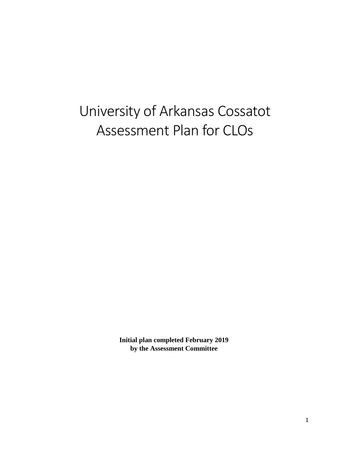# University of Arkansas Cossatot Assessment Plan for CLOs

**Initial plan completed February 2019 by the Assessment Committee**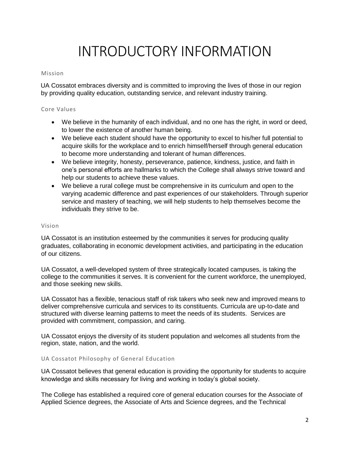## INTRODUCTORY INFORMATION

#### Mission

UA Cossatot embraces diversity and is committed to improving the lives of those in our region by providing quality education, outstanding service, and relevant industry training.

#### Core Values

- We believe in the humanity of each individual, and no one has the right, in word or deed, to lower the existence of another human being.
- We believe each student should have the opportunity to excel to his/her full potential to acquire skills for the workplace and to enrich himself/herself through general education to become more understanding and tolerant of human differences.
- We believe integrity, honesty, perseverance, patience, kindness, justice, and faith in one's personal efforts are hallmarks to which the College shall always strive toward and help our students to achieve these values.
- We believe a rural college must be comprehensive in its curriculum and open to the varying academic difference and past experiences of our stakeholders. Through superior service and mastery of teaching, we will help students to help themselves become the individuals they strive to be.

#### Vision

UA Cossatot is an institution esteemed by the communities it serves for producing quality graduates, collaborating in economic development activities, and participating in the education of our citizens.

UA Cossatot, a well-developed system of three strategically located campuses, is taking the college to the communities it serves. It is convenient for the current workforce, the unemployed, and those seeking new skills.

UA Cossatot has a flexible, tenacious staff of risk takers who seek new and improved means to deliver comprehensive curricula and services to its constituents. Curricula are up-to-date and structured with diverse learning patterns to meet the needs of its students. Services are provided with commitment, compassion, and caring.

UA Cossatot enjoys the diversity of its student population and welcomes all students from the region, state, nation, and the world.

#### UA Cossatot Philosophy of General Education

UA Cossatot believes that general education is providing the opportunity for students to acquire knowledge and skills necessary for living and working in today's global society.

The College has established a required core of general education courses for the Associate of Applied Science degrees, the Associate of Arts and Science degrees, and the Technical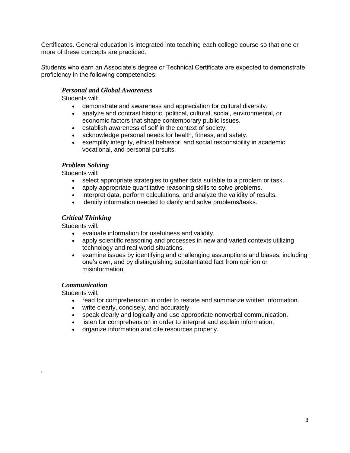Certificates. General education is integrated into teaching each college course so that one or more of these concepts are practiced.

Students who earn an Associate's degree or Technical Certificate are expected to demonstrate proficiency in the following competencies:

#### *Personal and Global Awareness*

Students will:

- demonstrate and awareness and appreciation for cultural diversity.
- analyze and contrast historic, political, cultural, social, environmental, or economic factors that shape contemporary public issues.
- establish awareness of self in the context of society.
- acknowledge personal needs for health, fitness, and safety.
- exemplify integrity, ethical behavior, and social responsibility in academic, vocational, and personal pursuits.

#### *Problem Solving*

Students will:

- select appropriate strategies to gather data suitable to a problem or task.
- apply appropriate quantitative reasoning skills to solve problems.
- interpret data, perform calculations, and analyze the validity of results.
- identify information needed to clarify and solve problems/tasks.

#### *Critical Thinking*

Students will:

- evaluate information for usefulness and validity.
- apply scientific reasoning and processes in new and varied contexts utilizing technology and real world situations.
- examine issues by identifying and challenging assumptions and biases, including one's own, and by distinguishing substantiated fact from opinion or misinformation.

#### *Communication*

Students will:

.

- read for comprehension in order to restate and summarize written information.
- write clearly, concisely, and accurately.
- speak clearly and logically and use appropriate nonverbal communication.
- listen for comprehension in order to interpret and explain information.
- organize information and cite resources properly.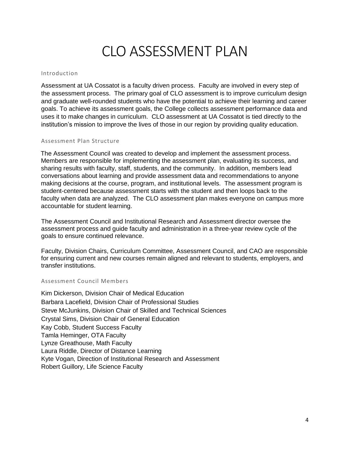### CLO ASSESSMENT PLAN

#### Introduction

Assessment at UA Cossatot is a faculty driven process. Faculty are involved in every step of the assessment process. The primary goal of CLO assessment is to improve curriculum design and graduate well-rounded students who have the potential to achieve their learning and career goals. To achieve its assessment goals, the College collects assessment performance data and uses it to make changes in curriculum. CLO assessment at UA Cossatot is tied directly to the institution's mission to improve the lives of those in our region by providing quality education.

#### Assessment Plan Structure

The Assessment Council was created to develop and implement the assessment process. Members are responsible for implementing the assessment plan, evaluating its success, and sharing results with faculty, staff, students, and the community. In addition, members lead conversations about learning and provide assessment data and recommendations to anyone making decisions at the course, program, and institutional levels. The assessment program is student-centered because assessment starts with the student and then loops back to the faculty when data are analyzed. The CLO assessment plan makes everyone on campus more accountable for student learning.

The Assessment Council and Institutional Research and Assessment director oversee the assessment process and guide faculty and administration in a three-year review cycle of the goals to ensure continued relevance.

Faculty, Division Chairs, Curriculum Committee, Assessment Council, and CAO are responsible for ensuring current and new courses remain aligned and relevant to students, employers, and transfer institutions.

#### Assessment Council Members

Kim Dickerson, Division Chair of Medical Education Barbara Lacefield, Division Chair of Professional Studies Steve McJunkins, Division Chair of Skilled and Technical Sciences Crystal Sims, Division Chair of General Education Kay Cobb, Student Success Faculty Tamla Heminger, OTA Faculty Lynze Greathouse, Math Faculty Laura Riddle, Director of Distance Learning Kyte Vogan, Direction of Institutional Research and Assessment Robert Guillory, Life Science Faculty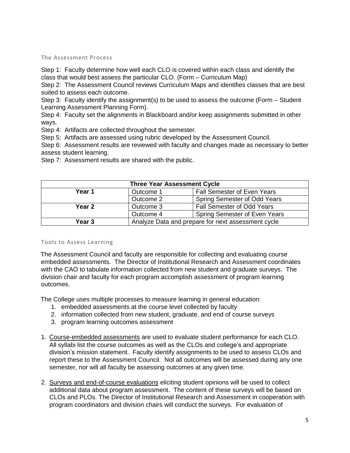#### The Assessment Process

Step 1: Faculty determine how well each CLO is covered within each class and identify the class that would best assess the particular CLO. (Form – Curriculum Map)

Step 2: The Assessment Council reviews Curriculum Maps and identifies classes that are best suited to assess each outcome.

Step 3: Faculty identify the assignment(s) to be used to assess the outcome (Form – Student Learning Assessment Planning Form).

Step 4: Faculty set the alignments in Blackboard and/or keep assignments submitted in other ways.

Step 4: Artifacts are collected throughout the semester.

Step 5: Artifacts are assessed using rubric developed by the Assessment Council.

Step 6: Assessment results are reviewed with faculty and changes made as necessary to better assess student learning.

Step 7: Assessment results are shared with the public.

| <b>Three Year Assessment Cycle</b> |           |                                                    |  |  |
|------------------------------------|-----------|----------------------------------------------------|--|--|
| Year 1                             | Outcome 1 | <b>Fall Semester of Even Years</b>                 |  |  |
|                                    | Outcome 2 | Spring Semester of Odd Years                       |  |  |
| Year 2                             | Outcome 3 | <b>Fall Semester of Odd Years</b>                  |  |  |
|                                    | Outcome 4 | Spring Semester of Even Years                      |  |  |
| Year <sub>3</sub>                  |           | Analyze Data and prepare for next assessment cycle |  |  |

#### Tools to Assess Learning

The Assessment Council and faculty are responsible for collecting and evaluating course embedded assessments. The Director of Institutional Research and Assessment coordinates with the CAO to tabulate information collected from new student and graduate surveys. The division chair and faculty for each program accomplish assessment of program learning outcomes.

The College uses multiple processes to measure learning in general education:

- 1. embedded assessments at the course level collected by faculty
- 2. information collected from new student, graduate, and end of course surveys
- 3. program learning outcomes assessment
- 1. Course-embedded assessments are used to evaluate student performance for each CLO. All syllabi list the course outcomes as well as the CLOs and college's and appropriate division's mission statement. Faculty identify assignments to be used to assess CLOs and report these to the Assessment Council. Not all outcomes will be assessed during any one semester, nor will all faculty be assessing outcomes at any given time.
- 2. Surveys and end-of-course evaluations eliciting student opinions will be used to collect additional data about program assessment. The content of these surveys will be based on CLOs and PLOs. The Director of Institutional Research and Assessment in cooperation with program coordinators and division chairs will conduct the surveys. For evaluation of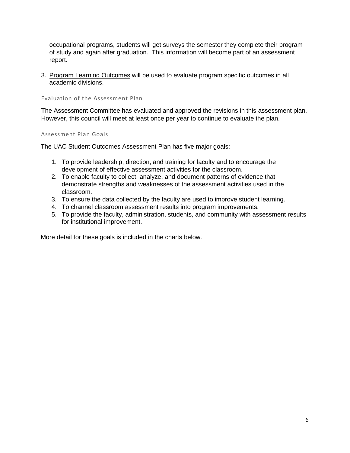occupational programs, students will get surveys the semester they complete their program of study and again after graduation. This information will become part of an assessment report.

3. Program Learning Outcomes will be used to evaluate program specific outcomes in all academic divisions.

Evaluation of the Assessment Plan

The Assessment Committee has evaluated and approved the revisions in this assessment plan. However, this council will meet at least once per year to continue to evaluate the plan.

Assessment Plan Goals

The UAC Student Outcomes Assessment Plan has five major goals:

- 1. To provide leadership, direction, and training for faculty and to encourage the development of effective assessment activities for the classroom.
- 2. To enable faculty to collect, analyze, and document patterns of evidence that demonstrate strengths and weaknesses of the assessment activities used in the classroom.
- 3. To ensure the data collected by the faculty are used to improve student learning.
- 4. To channel classroom assessment results into program improvements.
- 5. To provide the faculty, administration, students, and community with assessment results for institutional improvement.

More detail for these goals is included in the charts below.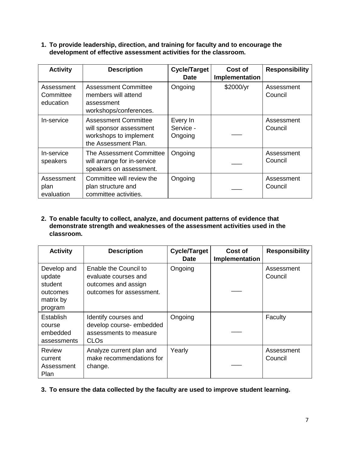**1. To provide leadership, direction, and training for faculty and to encourage the development of effective assessment activities for the classroom.** 

| <b>Activity</b>                      | <b>Description</b>                                                                                       | <b>Cycle/Target</b><br><b>Date</b> | Cost of<br>Implementation | <b>Responsibility</b> |
|--------------------------------------|----------------------------------------------------------------------------------------------------------|------------------------------------|---------------------------|-----------------------|
| Assessment<br>Committee<br>education | <b>Assessment Committee</b><br>members will attend<br>assessment<br>workshops/conferences.               | Ongoing                            | \$2000/yr                 | Assessment<br>Council |
| In-service                           | <b>Assessment Committee</b><br>will sponsor assessment<br>workshops to implement<br>the Assessment Plan. | Every In<br>Service -<br>Ongoing   |                           | Assessment<br>Council |
| In-service<br>speakers               | The Assessment Committee<br>will arrange for in-service<br>speakers on assessment.                       | Ongoing                            |                           | Assessment<br>Council |
| Assessment<br>plan<br>evaluation     | Committee will review the<br>plan structure and<br>committee activities.                                 | Ongoing                            |                           | Assessment<br>Council |

**2. To enable faculty to collect, analyze, and document patterns of evidence that demonstrate strength and weaknesses of the assessment activities used in the classroom.** 

| <b>Activity</b>                                                      | <b>Description</b>                                                                               | <b>Cycle/Target</b><br><b>Date</b> | Cost of<br>Implementation | <b>Responsibility</b> |
|----------------------------------------------------------------------|--------------------------------------------------------------------------------------------------|------------------------------------|---------------------------|-----------------------|
| Develop and<br>update<br>student<br>outcomes<br>matrix by<br>program | Enable the Council to<br>evaluate courses and<br>outcomes and assign<br>outcomes for assessment. | Ongoing                            |                           | Assessment<br>Council |
| Establish<br>course<br>embedded<br>assessments                       | Identify courses and<br>develop course-embedded<br>assessments to measure<br><b>CLOs</b>         | Ongoing                            |                           | Faculty               |
| Review<br>current<br>Assessment<br>Plan                              | Analyze current plan and<br>make recommendations for<br>change.                                  | Yearly                             |                           | Assessment<br>Council |

**3. To ensure the data collected by the faculty are used to improve student learning.**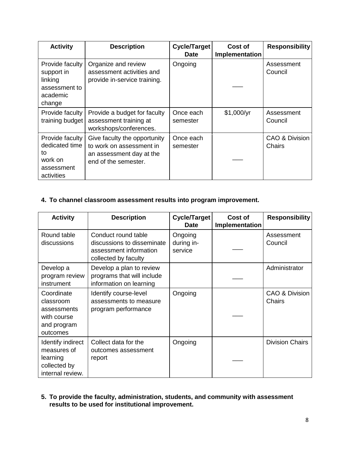| <b>Activity</b>                                                                 | <b>Description</b>                                                                                           | <b>Cycle/Target</b><br><b>Date</b> | Cost of<br>Implementation | <b>Responsibility</b>    |
|---------------------------------------------------------------------------------|--------------------------------------------------------------------------------------------------------------|------------------------------------|---------------------------|--------------------------|
| Provide faculty<br>support in<br>linking<br>assessment to<br>academic<br>change | Organize and review<br>assessment activities and<br>provide in-service training.                             | Ongoing                            |                           | Assessment<br>Council    |
| Provide faculty<br>training budget                                              | Provide a budget for faculty<br>assessment training at<br>workshops/conferences.                             | Once each<br>semester              | \$1,000/yr                | Assessment<br>Council    |
| Provide faculty<br>dedicated time<br>to<br>work on<br>assessment<br>activities  | Give faculty the opportunity<br>to work on assessment in<br>an assessment day at the<br>end of the semester. | Once each<br>semester              |                           | CAO & Division<br>Chairs |

### **4. To channel classroom assessment results into program improvement.**

| <b>Activity</b>                                                                  | <b>Description</b>                                                                                  | <b>Cycle/Target</b><br><b>Date</b> | Cost of<br>Implementation | <b>Responsibility</b>    |
|----------------------------------------------------------------------------------|-----------------------------------------------------------------------------------------------------|------------------------------------|---------------------------|--------------------------|
| Round table<br>discussions                                                       | Conduct round table<br>discussions to disseminate<br>assessment information<br>collected by faculty | Ongoing<br>during in-<br>service   |                           | Assessment<br>Council    |
| Develop a<br>program review<br>instrument                                        | Develop a plan to review<br>programs that will include<br>information on learning                   |                                    |                           | Administrator            |
| Coordinate<br>classroom<br>assessments<br>with course<br>and program<br>outcomes | Identify course-level<br>assessments to measure<br>program performance                              | Ongoing                            |                           | CAO & Division<br>Chairs |
| Identify indirect<br>measures of<br>learning<br>collected by<br>internal review. | Collect data for the<br>outcomes assessment<br>report                                               | Ongoing                            |                           | <b>Division Chairs</b>   |

**5. To provide the faculty, administration, students, and community with assessment results to be used for institutional improvement.**